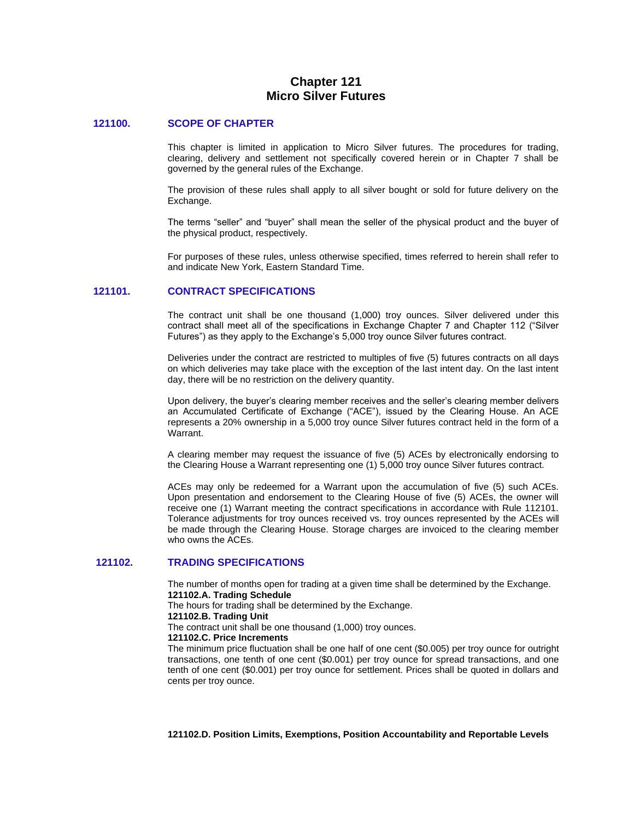# **Chapter 121 Micro Silver Futures**

#### **121100. SCOPE OF CHAPTER**

This chapter is limited in application to Micro Silver futures. The procedures for trading, clearing, delivery and settlement not specifically covered herein or in Chapter 7 shall be governed by the general rules of the Exchange.

The provision of these rules shall apply to all silver bought or sold for future delivery on the Exchange.

The terms "seller" and "buyer" shall mean the seller of the physical product and the buyer of the physical product, respectively.

For purposes of these rules, unless otherwise specified, times referred to herein shall refer to and indicate New York, Eastern Standard Time.

## **121101. CONTRACT SPECIFICATIONS**

The contract unit shall be one thousand (1,000) troy ounces. Silver delivered under this contract shall meet all of the specifications in Exchange Chapter 7 and Chapter 112 ("Silver Futures") as they apply to the Exchange's 5,000 troy ounce Silver futures contract.

Deliveries under the contract are restricted to multiples of five (5) futures contracts on all days on which deliveries may take place with the exception of the last intent day. On the last intent day, there will be no restriction on the delivery quantity.

Upon delivery, the buyer's clearing member receives and the seller's clearing member delivers an Accumulated Certificate of Exchange ("ACE"), issued by the Clearing House. An ACE represents a 20% ownership in a 5,000 troy ounce Silver futures contract held in the form of a Warrant.

A clearing member may request the issuance of five (5) ACEs by electronically endorsing to the Clearing House a Warrant representing one (1) 5,000 troy ounce Silver futures contract.

ACEs may only be redeemed for a Warrant upon the accumulation of five (5) such ACEs. Upon presentation and endorsement to the Clearing House of five (5) ACEs, the owner will receive one (1) Warrant meeting the contract specifications in accordance with Rule 112101. Tolerance adjustments for troy ounces received vs. troy ounces represented by the ACEs will be made through the Clearing House. Storage charges are invoiced to the clearing member who owns the ACEs.

### **121102. TRADING SPECIFICATIONS**

The number of months open for trading at a given time shall be determined by the Exchange. **121102.A. Trading Schedule** 

The hours for trading shall be determined by the Exchange.

## **121102.B. Trading Unit**

The contract unit shall be one thousand (1,000) troy ounces.

## **121102.C. Price Increments**

The minimum price fluctuation shall be one half of one cent (\$0.005) per troy ounce for outright transactions, one tenth of one cent (\$0.001) per troy ounce for spread transactions, and one tenth of one cent (\$0.001) per troy ounce for settlement. Prices shall be quoted in dollars and cents per troy ounce.

**121102.D. Position Limits, Exemptions, Position Accountability and Reportable Levels**